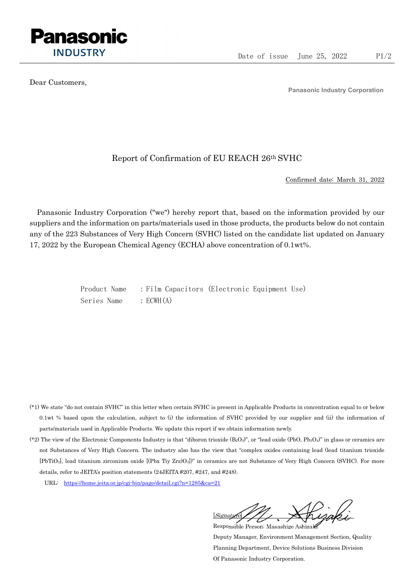

Dear Customers,

Panasonic Industry Corporation

## Report of Confirmation of EU REACH 26th SVHC

Confirmed date: March 31, 2022

Panasonic Industry Corporation ("we") hereby report that, based on the information provided by our suppliers and the information on parts/materials used in those products, the products below do not contain any of the 223 Substances of Very High Concern (SVHC) listed on the candidate list updated on January 17, 2022 by the European Chemical Agency (ECHA) above concentration of 0.1wt%.

> Product Name : Film Capacitors (Electronic Equipment Use) Series Name : ECWH(A)

- (\*1) We state "do not contain SVHC" in this letter when certain SVHC is present in Applicable Products in concentration equal to or below 0.1wt % based upon the calculation, subject to (i) the information of SVHC provided by our supplier and (ii) the information of parts/materials used in Applicable Products. We update this report if we obtain information newly.
- (\*2) The view of the Electronic Components Industry is that "diboron trioxide  $(B_2O_3)$ ", or "lead oxide (PbO, Pb<sub>3</sub>O<sub>4</sub>)" in glass or ceramics are not Substances of Very High Concern. The industry also has the view that "complex oxides containing lead (lead titanium trioxide [PbTiO3], lead titanium zirconium oxide [(Pbx Tiy Zrz)O3])" in ceramics are not Substance of Very High Concern (SVHC). For more details, refer to JEITA's position statements (24JEITA #207, #247, and #248).
	- URL: https://home.jeita.or.jp/cgi-bin/page/detail.cgi?n=1285&ca=21

[Signature] Responsible Person: Masashige Ashizaki

Deputy Manager, Environment Management Section, Quality Planning Department, Device Solutions Business Division Of Panasonic Industry Corporation.